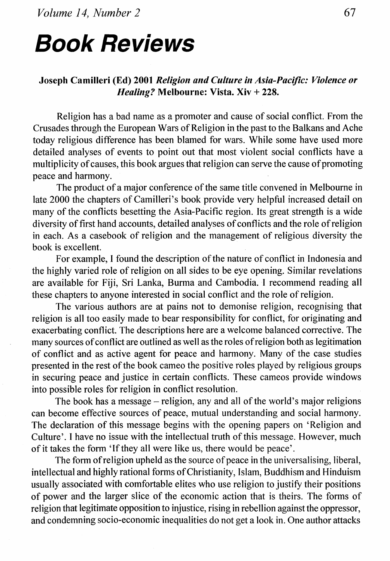# **Book Reviews**

#### Joseph Camilleri (Ed) 2001 *Religion and Culture in Asia-Pacific: Violence or Healing?* Melbourne: Vista. Xiv + 228.

Religion has a bad name as a promoter and cause of social conflict. From the Crusades through the European Wars of Religion in the past to the Balkans and Ache today religious difference has been blamed for wars. While some have used more detailed analyses of events to point out that most violent social conflicts have a multiplicity of causes, this book argues that religion can serve the cause of promoting peace and harmony.

The product of a major conference of the same title convened in Melbourne in late 2000 the chapters of Camilleri's book provide very helpful increased detail on many of the conflicts besetting the Asia-Pacific region. Its great strength is a wide diversity of first hand accounts, detailed analyses of conflicts and the role of religion in each. As a casebook of religion and the management of religious diversity the book is excellent.

For example, I found the description of the nature of conflict in Indonesia and the highly varied role of religion on all sides to be eye opening. Similar revelations are available for Fiji, Sri Lanka, Burma and Cambodia. I recommend reading all these chapters to anyone interested in social conflict and the role of religion.

The various authors are at pains not to demonise religion, recognising that religion is all too easily made to bear responsibility for conflict, for originating and exacerbating conflict. The descriptions here are a welcome balanced corrective. The many sources of conflict are outlined as well as the roles of religion both as legitimation of conflict and as active agent for peace and harmony. Many of the case studies presented in the rest of the book cameo the positive roles played by religious groups in securing peace and justice in certain conflicts. These cameos provide windows into possible roles for religion in conflict resolution.

The book has a message – religion, any and all of the world's major religions can become effective sources of peace, mutual understanding and social harmony. The declaration of this message begins with the opening papers on 'Religion and Culture'. I have no issue with the intellectual truth of this message. However, much of it takes the form 'If they all were like us, there would be peace'.

The form of religion upheld as the source of peace in the universalising, liberal, intellectual and highly rational forms of Christianity, Islam, Buddhism and Hinduism usually associated with comfortable elites who use religion to justify their positions of power and the larger slice of the economic action that is theirs. The forms of religion that legitimate opposition to injustice, rising in rebellion against the oppressor, and condemning socio-economic inequalities do not get a look in. One author attacks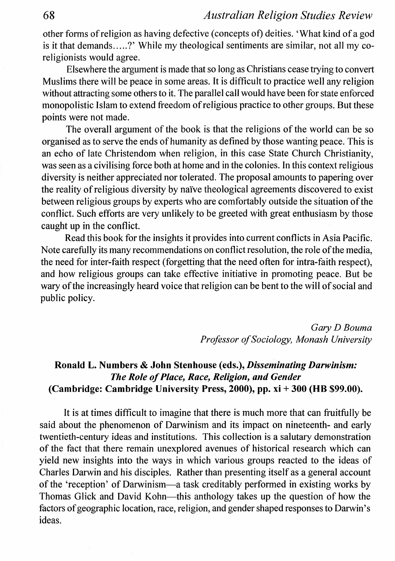other forms of religion as having defective (concepts of) deities. 'What kind of a god is it that demands.....?' While my theological sentiments are similar, not all my  $\overline{\text{co-}}$ religionists would agree.

Elsewhere the argument is made that so long as Christians cease trying to convert Muslims there will be peace in some areas. It is difficult to practice well any religion without attracting some others to it. The parallel call would have been for state enforced monopolistic Islam to extend freedom of religious practice to other groups. But these points were not made.

The overall argument of the book is that the religions of the world can be so organised as to serve the ends of humanity as defined by those wanting peace. This is an echo of late Christendom when religion, in this case State Church Christianity, was seen as a civilising force both at home and in the colonies. In this context religious diversity is neither appreciated nor tolerated. The proposal amounts to papering over the reality of religious diversity by naïve theological agreements discovered to exist between religious groups by experts who are comfortably outside the situation of the conflict. Such efforts are very unlikely to be greeted with great enthusiasm by those caught up in the conflict.

Read this book for the insights it provides into current conflicts in Asia Pacific. Note carefully its many recommendations on conflict resolution, the role of the media, the need for inter-faith respect (forgetting that the need often for intra-faith respect), and how religious groups can take effective initiative in promoting peace. But be wary of the increasingly heard voice that religion can be bent to the will of social and public policy.

> *GaryDBouma Professor of Sociology, Monash University*

### Ronald L. Numbers & John Stenhouse (eds.), *Disseminating Darwinism: The Role of Place, Race, Religion, and Gender*  (Cambridge: Cambridge University Press, 2000), pp. xi+ 300 (HB \$99.00).

It is at times difficult to imagine that there is much more that can fruitfully be said about the phenomenon of Darwinism and its impact on nineteenth- and early twentieth-century ideas and institutions. This collection is a salutary demonstration of the fact that there remain unexplored avenues of historical research which can yield new insights into the ways in which various groups reacted to the ideas of Charles Darwin and his disciples. Rather than presenting itself as a general account of the 'reception' of Darwinism-a task creditably performed in existing works by Thomas Glick and David Kohn-this anthology takes up the question of how the factors of geographic location, race, religion, and gender shaped responses to Darwin's ideas.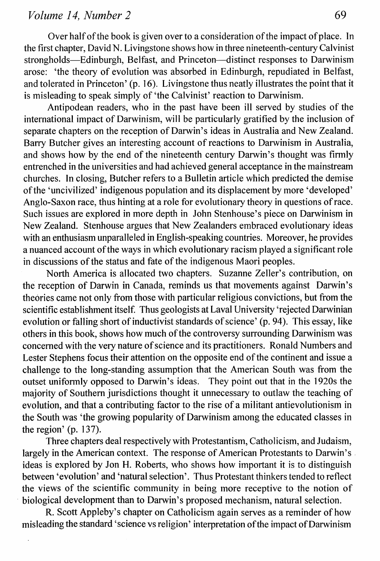#### *Volume 14, Number 2* 69

Over half of the book is given over to a consideration of the impact of place. In the first chapter, David N. Livingstone shows how in three nineteenth-century Calvinist strongholds-Edinburgh, Belfast, and Princeton-distinct responses to Darwinism arose: 'the theory of evolution was absorbed in Edinburgh, repudiated in Belfast, and tolerated in Princeton' (p. 16). Livingstone thus neatly illustrates the point that it is misleading to speak simply of 'the Calvinist' reaction to Darwinism.

Antipodean readers, who in the past have been ill served by studies of the international impact of Darwinism, will be particularly gratified by the inclusion of separate chapters on the reception of Darwin's ideas in Australia and New Zealand. Barry Butcher gives an interesting account of reactions to Darwinism in Australia, and shows how by the end of the nineteenth century Darwin's thought was firmly entrenched in the universities and had achieved general acceptance in the mainstream churches. In closing, Butcher refers to a Bulletin article which predicted the demise of the 'uncivilized' indigenous population and its displacement by more 'developed' Anglo-Saxon race, thus hinting at a role for evolutionary theory in questions of race. Such issues are explored in more depth in John Stenhouse's piece on Darwinism in New Zealand. Stenhouse argues that New Zealanders embraced evolutionary ideas with an enthusiasm unparalleled in English-speaking countries. Moreover, he provides a nuanced account of the ways in which evolutionary racism played a significant role in discussions of the status and fate of the indigenous Maori peoples.

North America is allocated two chapters. Suzanne Zeller's contribution, on the reception of Darwin in Canada, reminds us that movements against Darwin's theories came not only from those with particular religious convictions, but from the scientific establishment itself. Thus geologists at Laval University 'rejected Darwinian evolution or falling short of inductivist standards of science' (p. 94). This essay, like others in this book, shows how much of the controversy surrounding Darwinism was concerned with the very nature of science and its practitioners. Ronald Numbers and Lester Stephens focus their attention on the opposite end of the continent and issue a challenge to the long-standing assumption that the American South was from the outset unifonnly opposed to Darwin's ideas. They point out that in the 1920s the majority of Southern jurisdictions thought it unnecessary to outlaw the teaching of evolution, and that a contributing factor to the rise of a militant antievolutionism in the South was 'the growing popularity of Darwinism among the educated classes in the region' (p. 137).

Three chapters deal respectively with Protestantism, Catholicism, and Judaism, largely in the American context. The response of American Protestants to Darwin's ideas is explored by Jon H. Roberts, who shows how important it is to distinguish between 'evolution' and 'natural selection'. Thus Protestant thinkers tended to reflect the views of the scientific community in being more receptive to the notion of biological development than to Darwin's proposed mechanism, natural selection.

R. Scott Appleby's chapter on Catholicism again serves as a reminder of how misleading the standard 'science vs religion' interpretation of the impact of Darwinism